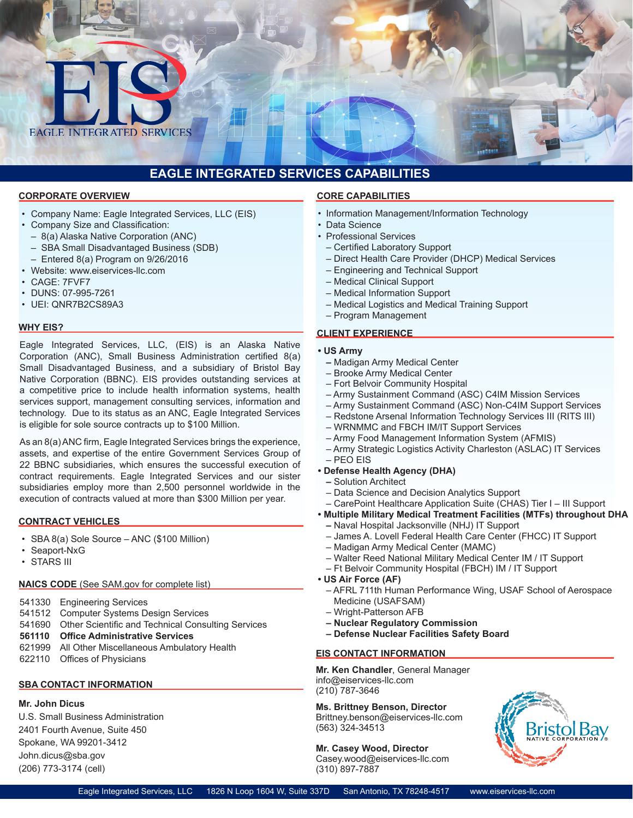

# **EAGLE INTEGRATED SERVICES CAPABILITIES**

#### **CORPORATE OVERVIEW**

- • Company Name: Eagle Integrated Services, LLC (EIS)
- • Company Size and Classification:
	- – 8(a) Alaska Native Corporation (ANC)
	- – SBA Small Disadvantaged Business (SDB)
	- $-$  Entered 8(a) Program on 9/26/2016
- Website: www.eiservices-llc.com
- CAGE: 7FVF7
- DUNS: 07-995-7261
- UEI: QNR7B2CS89A3

#### **WHY EIS?**

Eagle Integrated Services, LLC, (EIS) is an Alaska Native Corporation (ANC), Small Business Administration certified 8(a) Small Disadvantaged Business, and a subsidiary of Bristol Bay Native Corporation (BBNC). EIS provides outstanding services at a competitive price to include health information systems, health services support, management consulting services, information and technology. Due to its status as an ANC, Eagle Integrated Services is eligible for sole source contracts up to \$100 Million.

As an 8(a)ANC firm, Eagle Integrated Services brings the experience, assets, and expertise of the entire Government Services Group of 22 BBNC subsidiaries, which ensures the successful execution of contract requirements. Eagle Integrated Services and our sister subsidiaries employ more than 2,500 personnel worldwide in the execution of contracts valued at more than \$300 Million per year.

#### **CONTRACT VEHICLES**

- SBA 8(a) Sole Source ANC (\$100 Million)
- Seaport-NxG
- STARS III

### **NAICS CODE** (See SAM.gov for complete list)

- 541330 Engineering Services
- 541512 Computer Systems Design Services
- 541690 Other Scientific and Technical Consulting Services
- **561110 Office Administrative Services**
- 621999 All Other Miscellaneous Ambulatory Health
- 622110 Offices of Physicians

### **SBA CONTACT INFORMATION**

## **Mr. John Dicus**

U.S. Small Business Administration 2401 Fourth Avenue, Suite 450 Spokane, WA 99201-3412 John.dicus@sba.gov (206) 773-3174 (cell)

#### **CORE CAPABILITIES**

- Information Management/Information Technology
- Data Science
- Professional Services
	- Certified Laboratory Support
	- Direct Health Care Provider (DHCP) Medical Services
	- Engineering and Technical Support
	- Medical Clinical Support
	- Medical Information Support
	- Medical Logistics and Medical Training Support
- Program Management

#### **CLIENT EXPERIENCE**

#### **• US Army**

- Madigan Army Medical Center
- Brooke Army Medical Center
- Fort Belvoir Community Hospital
- Army Sustainment Command (ASC) C4IM Mission Services
- Army Sustainment Command (ASC) Non-C4IM Support Services
- Redstone Arsenal Information Technology Services III (RITS III)
- WRNMMC and FBCH IM/IT Support Services
- Army Food Management Information System (AFMIS)
- Army Strategic Logistics Activity Charleston (ASLAC) IT Services – PEO EIS

#### **• Defense Health Agency (DHA)**

- Solution Architect
- Data Science and Decision Analytics Support
- CarePoint Healthcare Application Suite (CHAS) Tier I III Support
- **Multiple Military Medical Treatment Facilities (MTFs) throughout DHA**
- Naval Hospital Jacksonville (NHJ) IT Support
- James A. Lovell Federal Health Care Center (FHCC) IT Support
- Madigan Army Medical Center (MAMC)
- Walter Reed National Military Medical Center IM / IT Support
- Ft Belvoir Community Hospital (FBCH) IM / IT Support
- **US Air Force (AF)**
	- AFRL 711th Human Performance Wing, USAF School of Aerospace Medicine (USAFSAM)
	- Wright-Patterson AFB
	- **Nuclear Regulatory Commission**
	- **Defense Nuclear Facilities Safety Board**

#### **EIS CONTACT INFORMATION**

**Mr. Ken Chandler**, General Manager info@eiservices-llc.com (210) 787-3646

**Ms. Brittney Benson, Director** Brittney.benson@eiservices-llc.com (563) 324-34513

# **Mr. Casey Wood, Director**

Casey.wood@eiservices-llc.com (310) 897-7887